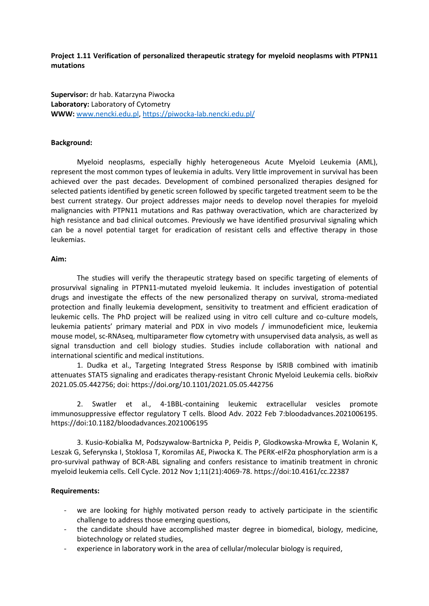## **Project 1.11 Verification of personalized therapeutic strategy for myeloid neoplasms with PTPN11 mutations**

**Supervisor:** dr hab. Katarzyna Piwocka **Laboratory:** Laboratory of Cytometry **WWW:** [www.nencki.edu.pl,](http://www.nencki.edu.pl/)<https://piwocka-lab.nencki.edu.pl/>

## **Background:**

Myeloid neoplasms, especially highly heterogeneous Acute Myeloid Leukemia (AML), represent the most common types of leukemia in adults. Very little improvement in survival has been achieved over the past decades. Development of combined personalized therapies designed for selected patients identified by genetic screen followed by specific targeted treatment seem to be the best current strategy. Our project addresses major needs to develop novel therapies for myeloid malignancies with PTPN11 mutations and Ras pathway overactivation, which are characterized by high resistance and bad clinical outcomes. Previously we have identified prosurvival signaling which can be a novel potential target for eradication of resistant cells and effective therapy in those leukemias.

## **Aim:**

The studies will verify the therapeutic strategy based on specific targeting of elements of prosurvival signaling in PTPN11-mutated myeloid leukemia. It includes investigation of potential drugs and investigate the effects of the new personalized therapy on survival, stroma-mediated protection and finally leukemia development, sensitivity to treatment and efficient eradication of leukemic cells. The PhD project will be realized using in vitro cell culture and co-culture models, leukemia patients' primary material and PDX in vivo models / immunodeficient mice, leukemia mouse model, sc-RNAseq, multiparameter flow cytometry with unsupervised data analysis, as well as signal transduction and cell biology studies. Studies include collaboration with national and international scientific and medical institutions.

1. Dudka et al., Targeting Integrated Stress Response by ISRIB combined with imatinib attenuates STAT5 signaling and eradicates therapy-resistant Chronic Myeloid Leukemia cells. bioRxiv 2021.05.05.442756; doi: https://doi.org/10.1101/2021.05.05.442756

2. Swatler et al., 4-1BBL-containing leukemic extracellular vesicles promote immunosuppressive effector regulatory T cells. Blood Adv. 2022 Feb 7:bloodadvances.2021006195. https://doi:10.1182/bloodadvances.2021006195

3. Kusio-Kobialka M, Podszywalow-Bartnicka P, Peidis P, Glodkowska-Mrowka E, Wolanin K, Leszak G, Seferynska I, Stoklosa T, Koromilas AE, Piwocka K. The PERK-eIF2α phosphorylation arm is a pro-survival pathway of BCR-ABL signaling and confers resistance to imatinib treatment in chronic myeloid leukemia cells. Cell Cycle. 2012 Nov 1;11(21):4069-78. https://doi:10.4161/cc.22387

## **Requirements:**

- we are looking for highly motivated person ready to actively participate in the scientific challenge to address those emerging questions,
- the candidate should have accomplished master degree in biomedical, biology, medicine, biotechnology or related studies,
- experience in laboratory work in the area of cellular/molecular biology is required,